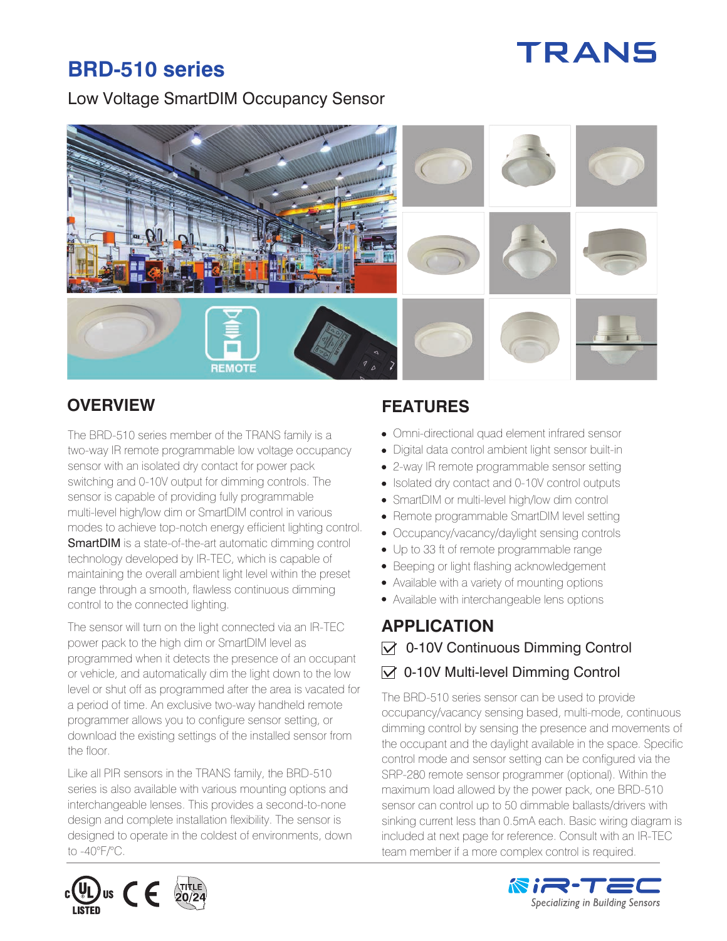# **TRANS**

## **BRD-510 series**

#### Low Voltage SmartDIM Occupancy Sensor



The BRD-510 series member of the TRANS family is a two-way IR remote programmable low voltage occupancy sensor with an isolated dry contact for power pack switching and 0-10V output for dimming controls. The sensor is capable of providing fully programmable multi-level high/low dim or SmartDIM control in various modes to achieve top-notch energy efficient lighting control. **SmartDIM** is a state-of-the-art automatic dimming control technology developed by IR-TEC, which is capable of maintaining the overall ambient light level within the preset range through a smooth, flawless continuous dimming control to the connected lighting.

The sensor will turn on the light connected via an IR-TEC power pack to the high dim or SmartDIM level as programmed when it detects the presence of an occupant or vehicle, and automatically dim the light down to the low level or shut off as programmed after the area is vacated for a period of time. An exclusive two-way handheld remote programmer allows you to configure sensor setting, or download the existing settings of the installed sensor from the floor.

Like all PIR sensors in the TRANS family, the BRD-510 series is also available with various mounting options and interchangeable lenses. This provides a second-to-none design and complete installation flexibility. The sensor is designed to operate in the coldest of environments, down to -40°F/°C.

### **OVERVIEW FEATURES**

- Omni-directional quad element infrared sensor
- Digital data control ambient light sensor built-in
- 2-way IR remote programmable sensor setting
- Isolated dry contact and 0-10V control outputs
- SmartDIM or multi-level high/low dim control
- Remote programmable SmartDIM level setting
- Occupancy/vacancy/daylight sensing controls
- Up to 33 ft of remote programmable range
- Beeping or light flashing acknowledgement
- Available with a variety of mounting options
- Available with interchangeable lens options

#### **APPLICATION**   $\triangledown$  0-10V Continuous Dimming Control  $\vee$  0-10V Multi-level Dimming Control

The BRD-510 series sensor can be used to provide occupancy/vacancy sensing based, multi-mode, continuous dimming control by sensing the presence and movements of the occupant and the daylight available in the space. Specific control mode and sensor setting can be configured via the SRP-280 remote sensor programmer (optional). Within the maximum load allowed by the power pack, one BRD-510 sensor can control up to 50 dimmable ballasts/drivers with sinking current less than 0.5mA each. Basic wiring diagram is included at next page for reference. Consult with an IR-TEC team member if a more complex control is required.